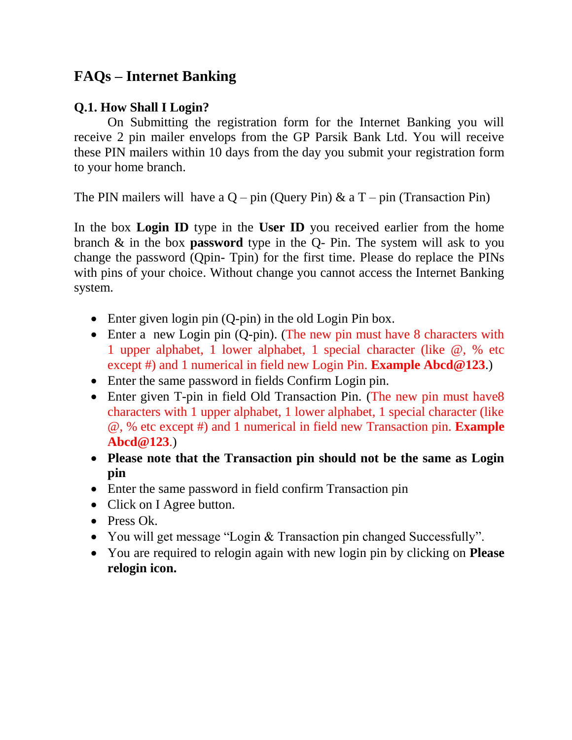# **FAQs – Internet Banking**

## **Q.1. How Shall I Login?**

On Submitting the registration form for the Internet Banking you will receive 2 pin mailer envelops from the GP Parsik Bank Ltd. You will receive these PIN mailers within 10 days from the day you submit your registration form to your home branch.

The PIN mailers will have a  $Q$  – pin (Query Pin)  $\&$  a T – pin (Transaction Pin)

In the box **Login ID** type in the **User ID** you received earlier from the home branch & in the box **password** type in the Q- Pin. The system will ask to you change the password (Qpin- Tpin) for the first time. Please do replace the PINs with pins of your choice. Without change you cannot access the Internet Banking system.

- Enter given login pin (Q-pin) in the old Login Pin box.
- Enter a new Login pin (Q-pin). (The new pin must have 8 characters with 1 upper alphabet, 1 lower alphabet, 1 special character (like @, % etc except #) and 1 numerical in field new Login Pin. **Example Abcd@123**.)
- Enter the same password in fields Confirm Login pin.
- Enter given T-pin in field Old Transaction Pin. (The new pin must have8 characters with 1 upper alphabet, 1 lower alphabet, 1 special character (like @, % etc except #) and 1 numerical in field new Transaction pin. **Example Abcd@123**.)
- **Please note that the Transaction pin should not be the same as Login pin**
- Enter the same password in field confirm Transaction pin
- Click on I Agree button.
- Press Ok.
- You will get message "Login & Transaction pin changed Successfully".
- You are required to relogin again with new login pin by clicking on **Please relogin icon.**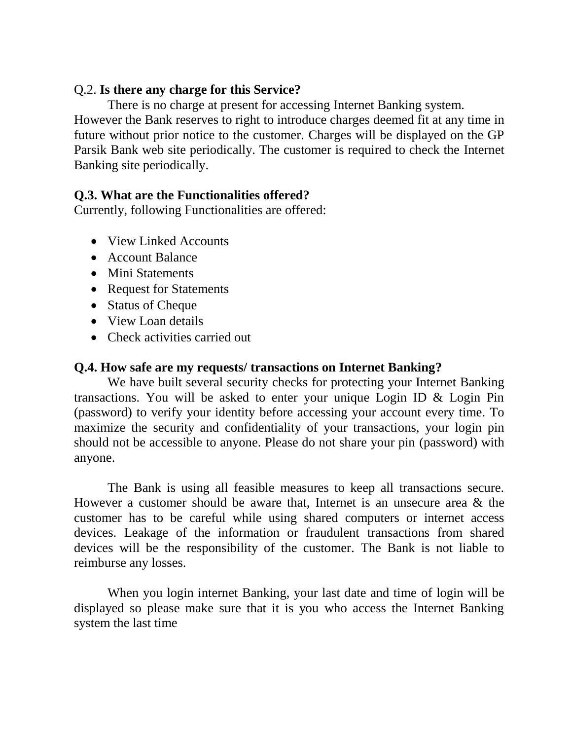#### Q.2. **Is there any charge for this Service?**

There is no charge at present for accessing Internet Banking system. However the Bank reserves to right to introduce charges deemed fit at any time in future without prior notice to the customer. Charges will be displayed on the GP Parsik Bank web site periodically. The customer is required to check the Internet Banking site periodically.

## **Q.3. What are the Functionalities offered?**

Currently, following Functionalities are offered:

- View Linked Accounts
- Account Balance
- Mini Statements
- Request for Statements
- Status of Cheque
- View Loan details
- Check activities carried out

#### **Q.4. How safe are my requests/ transactions on Internet Banking?**

We have built several security checks for protecting your Internet Banking transactions. You will be asked to enter your unique Login ID & Login Pin (password) to verify your identity before accessing your account every time. To maximize the security and confidentiality of your transactions, your login pin should not be accessible to anyone. Please do not share your pin (password) with anyone.

The Bank is using all feasible measures to keep all transactions secure. However a customer should be aware that, Internet is an unsecure area & the customer has to be careful while using shared computers or internet access devices. Leakage of the information or fraudulent transactions from shared devices will be the responsibility of the customer. The Bank is not liable to reimburse any losses.

When you login internet Banking, your last date and time of login will be displayed so please make sure that it is you who access the Internet Banking system the last time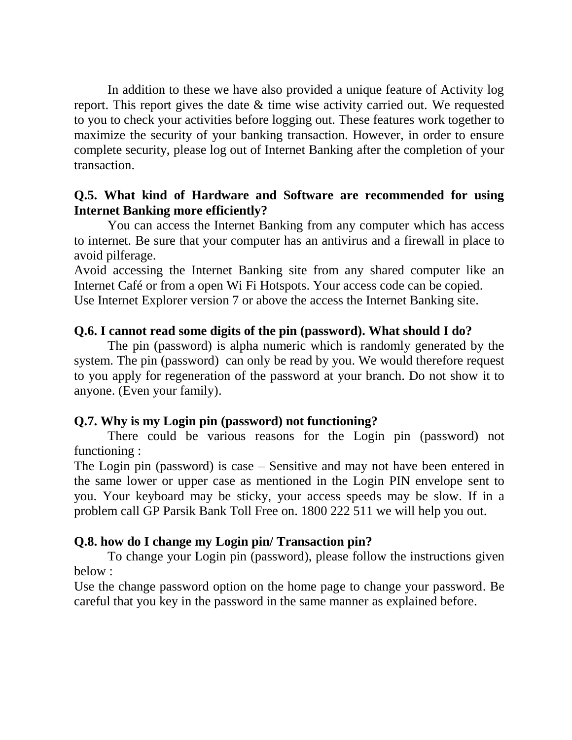In addition to these we have also provided a unique feature of Activity log report. This report gives the date & time wise activity carried out. We requested to you to check your activities before logging out. These features work together to maximize the security of your banking transaction. However, in order to ensure complete security, please log out of Internet Banking after the completion of your transaction.

#### **Q.5. What kind of Hardware and Software are recommended for using Internet Banking more efficiently?**

You can access the Internet Banking from any computer which has access to internet. Be sure that your computer has an antivirus and a firewall in place to avoid pilferage.

Avoid accessing the Internet Banking site from any shared computer like an Internet Café or from a open Wi Fi Hotspots. Your access code can be copied. Use Internet Explorer version 7 or above the access the Internet Banking site.

#### **Q.6. I cannot read some digits of the pin (password). What should I do?**

The pin (password) is alpha numeric which is randomly generated by the system. The pin (password) can only be read by you. We would therefore request to you apply for regeneration of the password at your branch. Do not show it to anyone. (Even your family).

## **Q.7. Why is my Login pin (password) not functioning?**

There could be various reasons for the Login pin (password) not functioning :

The Login pin (password) is case – Sensitive and may not have been entered in the same lower or upper case as mentioned in the Login PIN envelope sent to you. Your keyboard may be sticky, your access speeds may be slow. If in a problem call GP Parsik Bank Toll Free on. 1800 222 511 we will help you out.

## **Q.8. how do I change my Login pin/ Transaction pin?**

To change your Login pin (password), please follow the instructions given below :

Use the change password option on the home page to change your password. Be careful that you key in the password in the same manner as explained before.